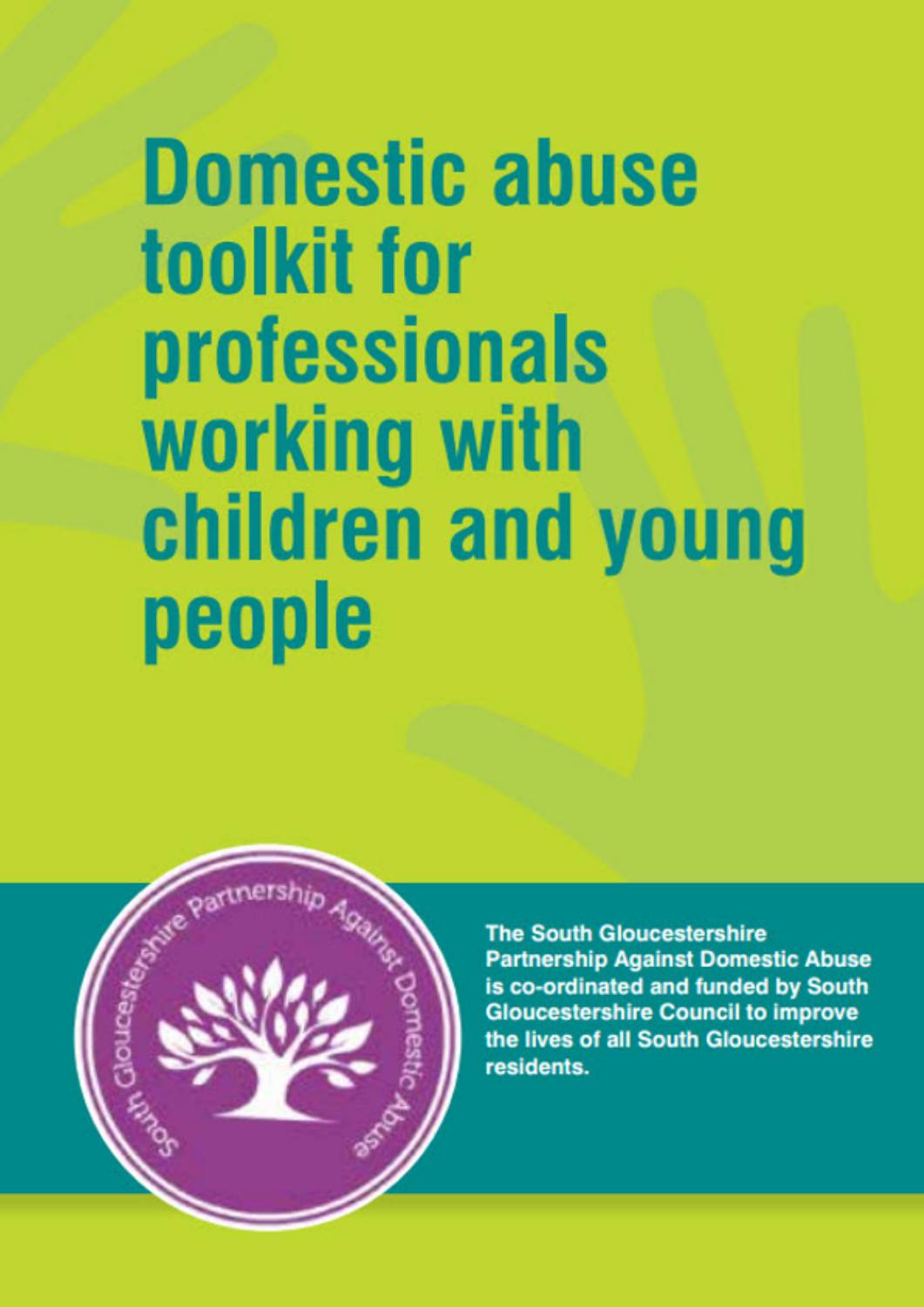# **Domestic abuse** toolkit for professionals working with children and young people



**The South Gloucestershire Partnership Against Domestic Abuse** is co-ordinated and funded by South **Gloucestershire Council to improve** the lives of all South Gloucestershire residents.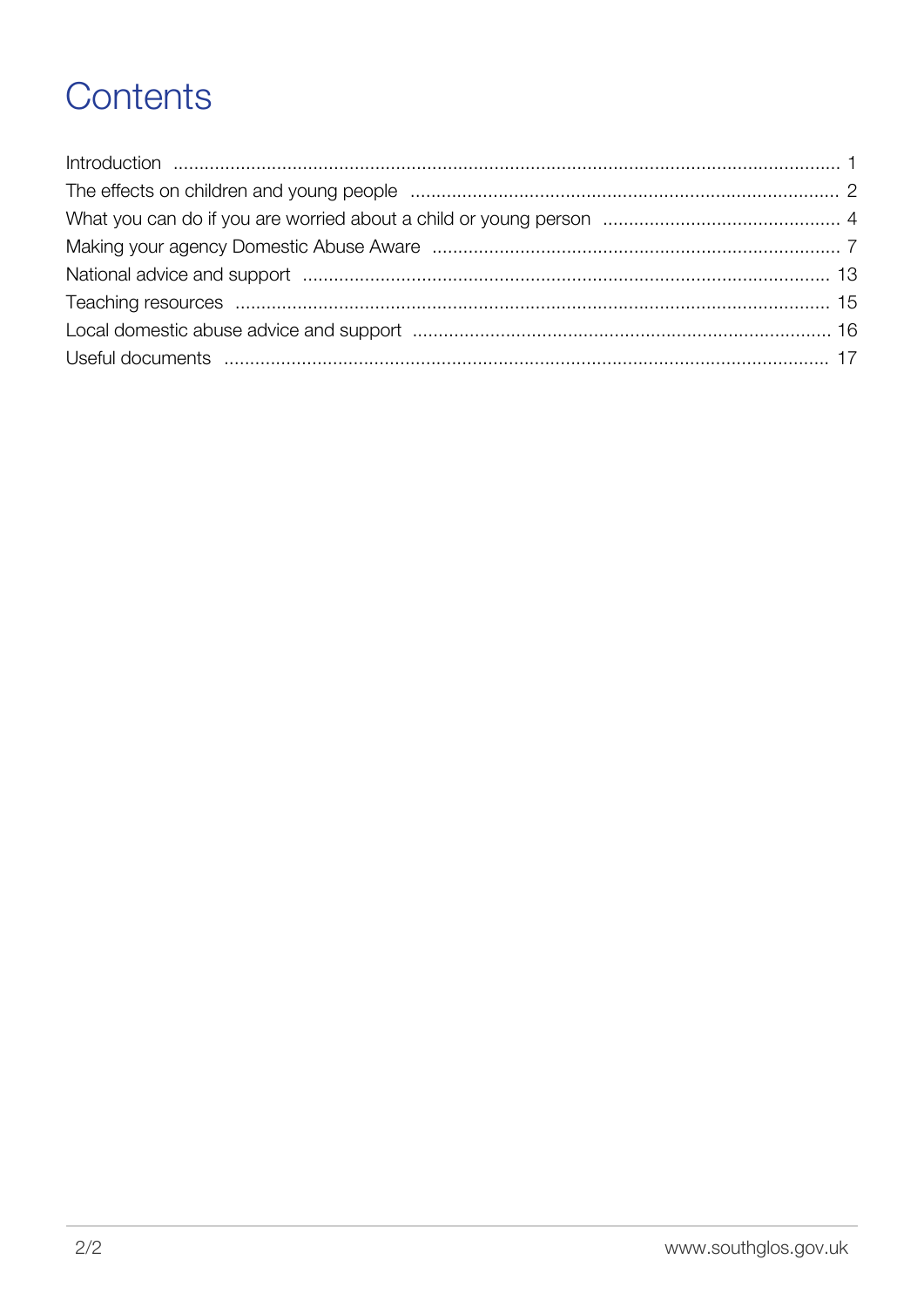# Contents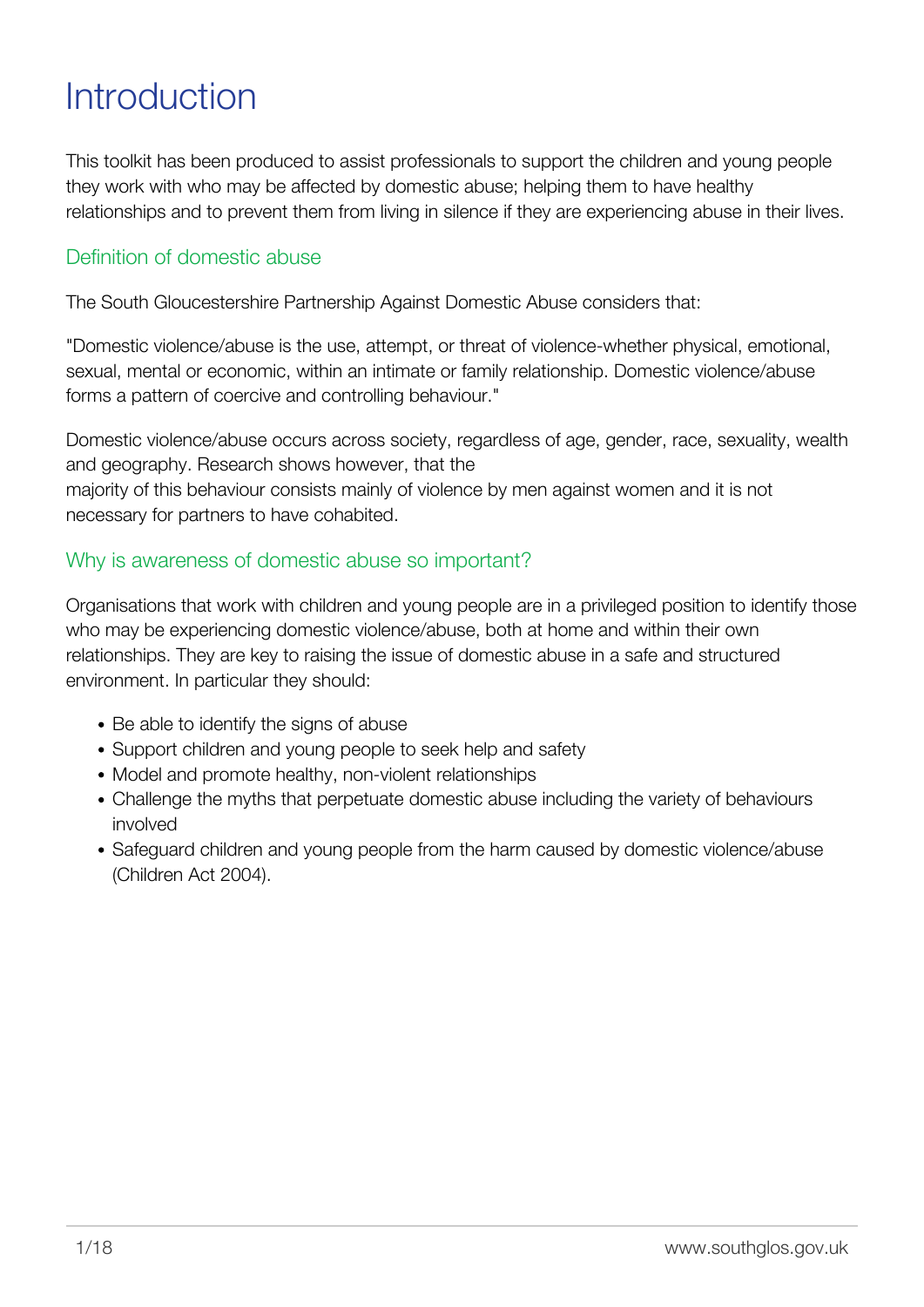# <span id="page-2-0"></span>**Introduction**

This toolkit has been produced to assist professionals to support the children and young people they work with who may be affected by domestic abuse; helping them to have healthy relationships and to prevent them from living in silence if they are experiencing abuse in their lives.

# Definition of domestic abuse

The South Gloucestershire Partnership Against Domestic Abuse considers that:

"Domestic violence/abuse is the use, attempt, or threat of violence-whether physical, emotional, sexual, mental or economic, within an intimate or family relationship. Domestic violence/abuse forms a pattern of coercive and controlling behaviour."

Domestic violence/abuse occurs across society, regardless of age, gender, race, sexuality, wealth and geography. Research shows however, that the majority of this behaviour consists mainly of violence by men against women and it is not necessary for partners to have cohabited.

# Why is awareness of domestic abuse so important?

Organisations that work with children and young people are in a privileged position to identify those who may be experiencing domestic violence/abuse, both at home and within their own relationships. They are key to raising the issue of domestic abuse in a safe and structured environment. In particular they should:

- Be able to identify the signs of abuse
- Support children and young people to seek help and safety
- Model and promote healthy, non-violent relationships
- Challenge the myths that perpetuate domestic abuse including the variety of behaviours involved
- Safeguard children and young people from the harm caused by domestic violence/abuse (Children Act 2004).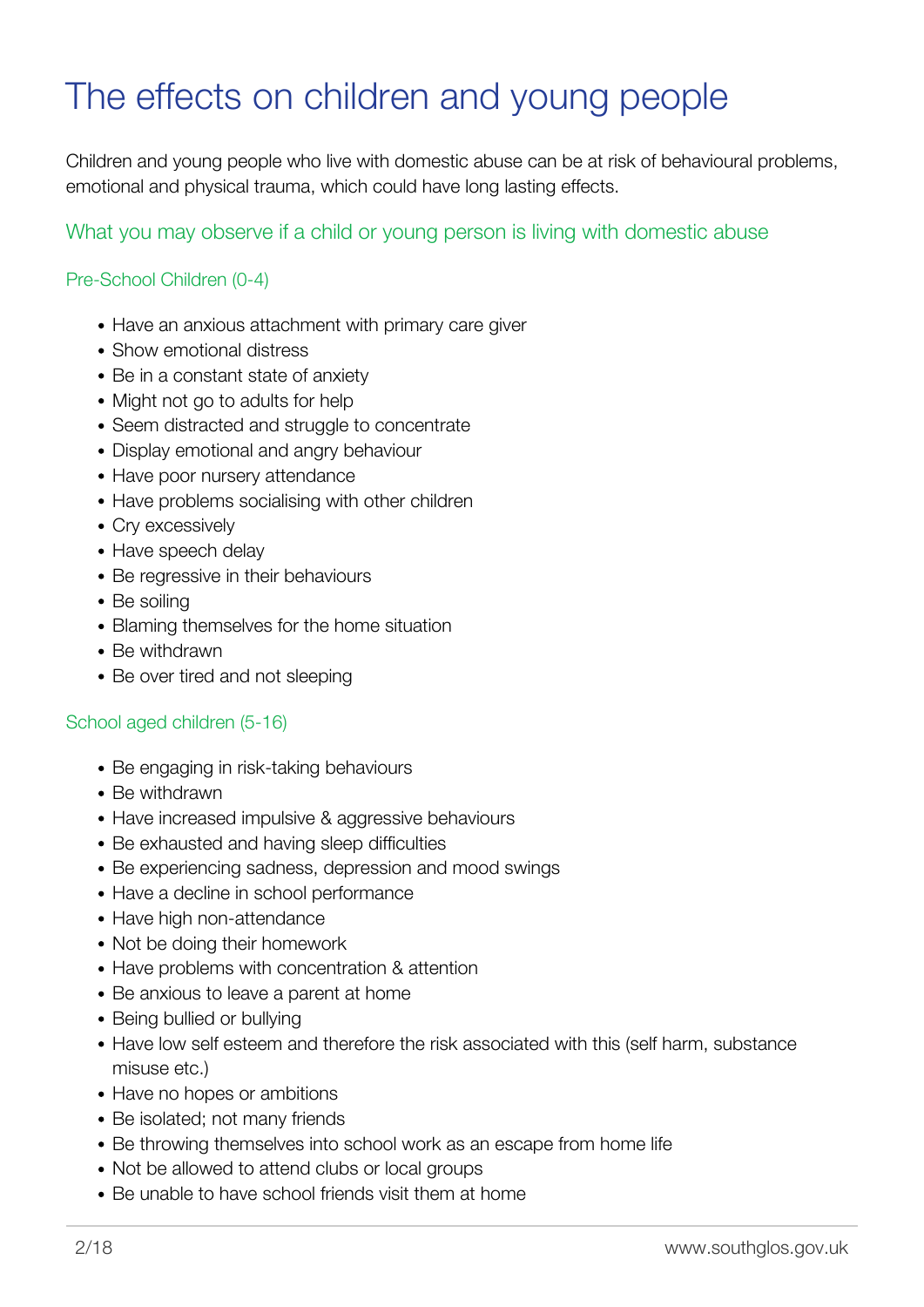# <span id="page-3-0"></span>The effects on children and young people

Children and young people who live with domestic abuse can be at risk of behavioural problems, emotional and physical trauma, which could have long lasting effects.

# What you may observe if a child or young person is living with domestic abuse

### Pre-School Children (0-4)

- Have an anxious attachment with primary care giver
- Show emotional distress
- Be in a constant state of anxiety
- Might not go to adults for help
- Seem distracted and struggle to concentrate
- Display emotional and angry behaviour
- Have poor nursery attendance
- Have problems socialising with other children
- Cry excessively
- Have speech delay
- Be regressive in their behaviours
- Be soiling
- Blaming themselves for the home situation
- Be withdrawn
- Be over tired and not sleeping

#### School aged children (5-16)

- Be engaging in risk-taking behaviours
- Be withdrawn
- Have increased impulsive & aggressive behaviours
- Be exhausted and having sleep difficulties
- Be experiencing sadness, depression and mood swings
- Have a decline in school performance
- Have high non-attendance
- Not be doing their homework
- Have problems with concentration & attention
- Be anxious to leave a parent at home
- Being bullied or bullying
- Have low self esteem and therefore the risk associated with this (self harm, substance misuse etc.)
- Have no hopes or ambitions
- Be isolated; not many friends
- Be throwing themselves into school work as an escape from home life
- Not be allowed to attend clubs or local groups
- Be unable to have school friends visit them at home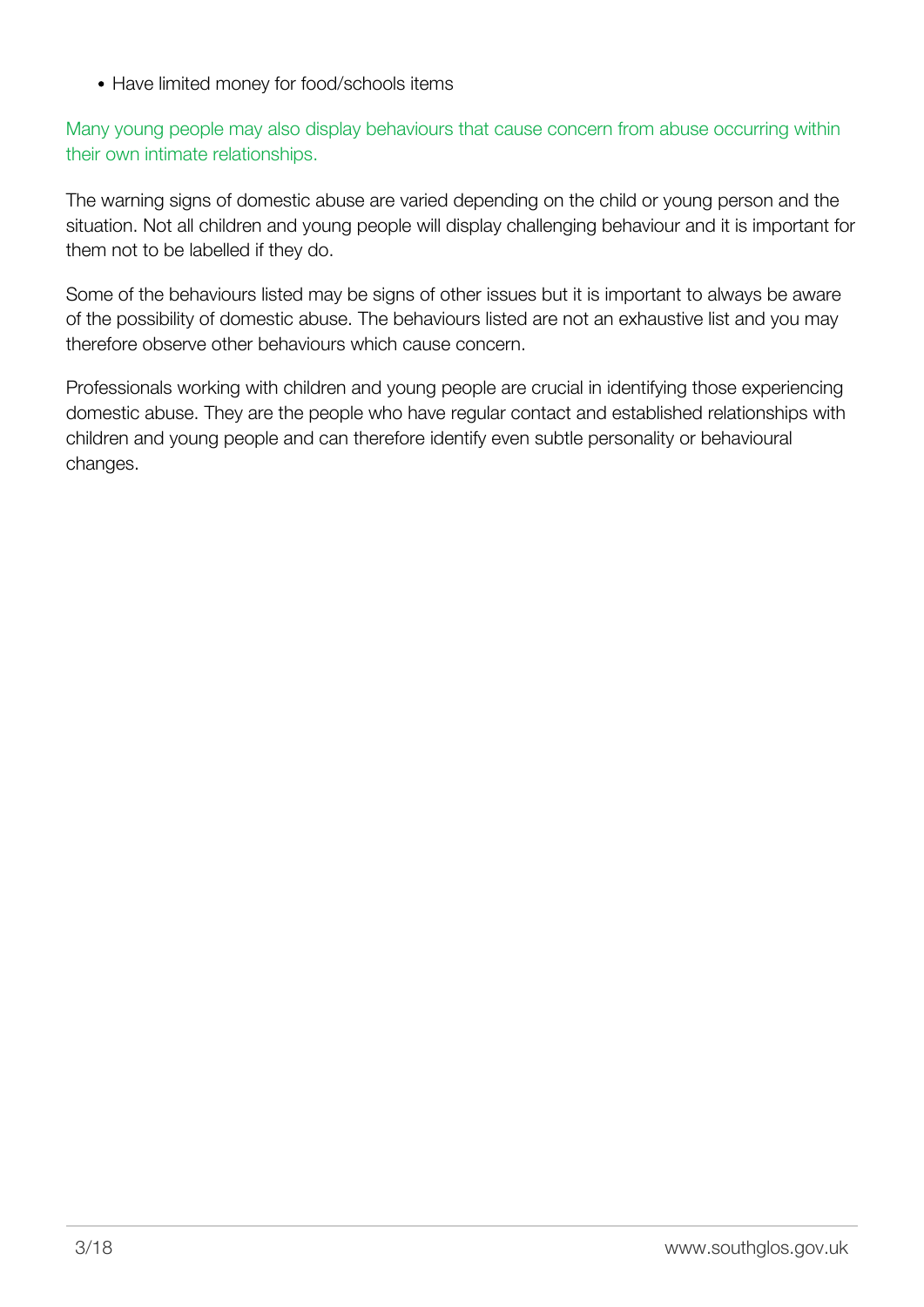• Have limited money for food/schools items

Many young people may also display behaviours that cause concern from abuse occurring within their own intimate relationships.

The warning signs of domestic abuse are varied depending on the child or young person and the situation. Not all children and young people will display challenging behaviour and it is important for them not to be labelled if they do.

Some of the behaviours listed may be signs of other issues but it is important to always be aware of the possibility of domestic abuse. The behaviours listed are not an exhaustive list and you may therefore observe other behaviours which cause concern.

Professionals working with children and young people are crucial in identifying those experiencing domestic abuse. They are the people who have regular contact and established relationships with children and young people and can therefore identify even subtle personality or behavioural changes.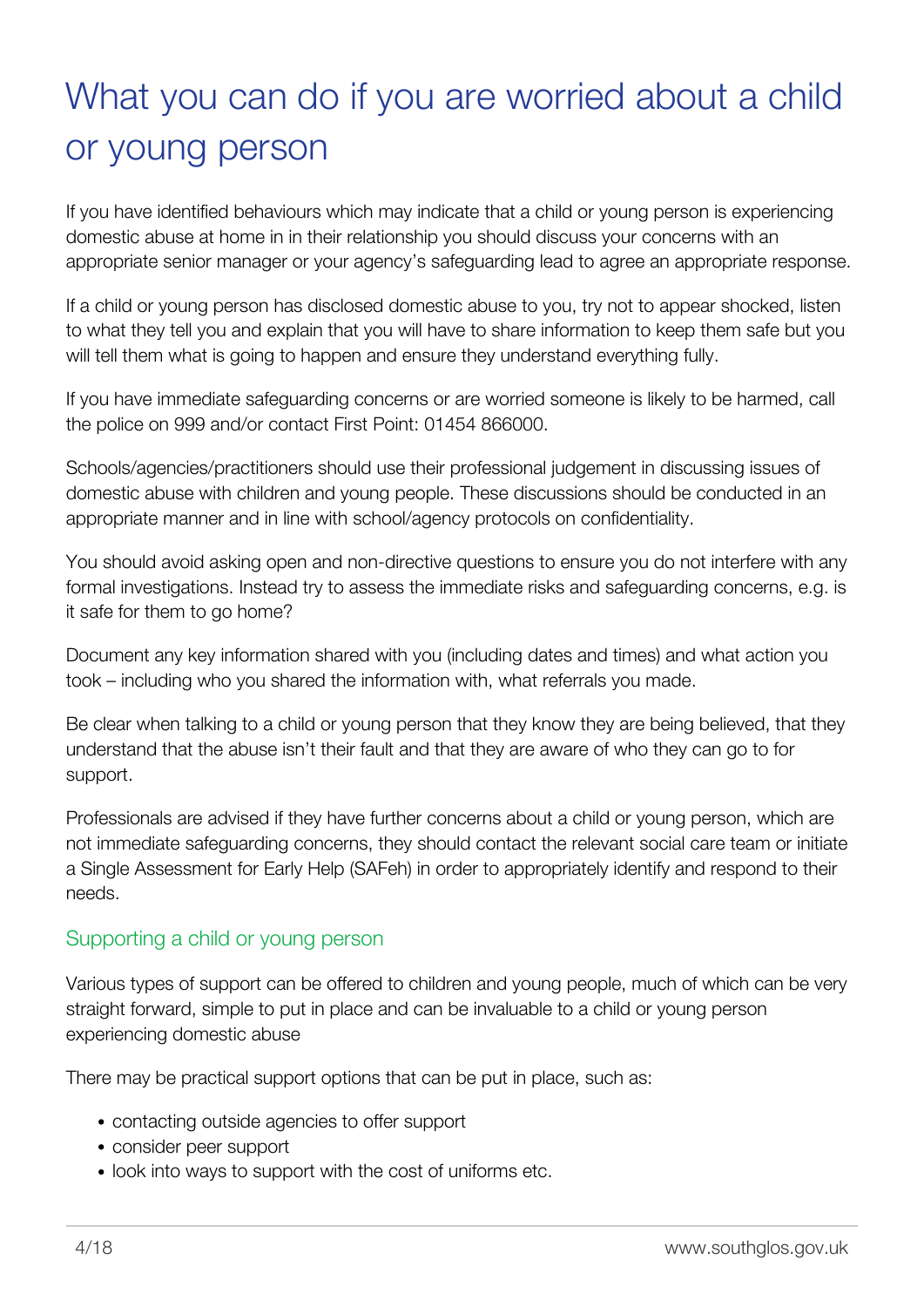# <span id="page-5-0"></span>What you can do if you are worried about a child or young person

If you have identified behaviours which may indicate that a child or young person is experiencing domestic abuse at home in in their relationship you should discuss your concerns with an appropriate senior manager or your agency's safeguarding lead to agree an appropriate response.

If a child or young person has disclosed domestic abuse to you, try not to appear shocked, listen to what they tell you and explain that you will have to share information to keep them safe but you will tell them what is going to happen and ensure they understand everything fully.

If you have immediate safeguarding concerns or are worried someone is likely to be harmed, call the police on 999 and/or contact First Point: 01454 866000.

Schools/agencies/practitioners should use their professional judgement in discussing issues of domestic abuse with children and young people. These discussions should be conducted in an appropriate manner and in line with school/agency protocols on confidentiality.

You should avoid asking open and non-directive questions to ensure you do not interfere with any formal investigations. Instead try to assess the immediate risks and safeguarding concerns, e.g. is it safe for them to go home?

Document any key information shared with you (including dates and times) and what action you took – including who you shared the information with, what referrals you made.

Be clear when talking to a child or young person that they know they are being believed, that they understand that the abuse isn't their fault and that they are aware of who they can go to for support.

Professionals are advised if they have further concerns about a child or young person, which are not immediate safeguarding concerns, they should contact the relevant social care team or initiate a Single Assessment for Early Help (SAFeh) in order to appropriately identify and respond to their needs.

# Supporting a child or young person

Various types of support can be offered to children and young people, much of which can be very straight forward, simple to put in place and can be invaluable to a child or young person experiencing domestic abuse

There may be practical support options that can be put in place, such as:

- contacting outside agencies to offer support
- consider peer support
- look into ways to support with the cost of uniforms etc.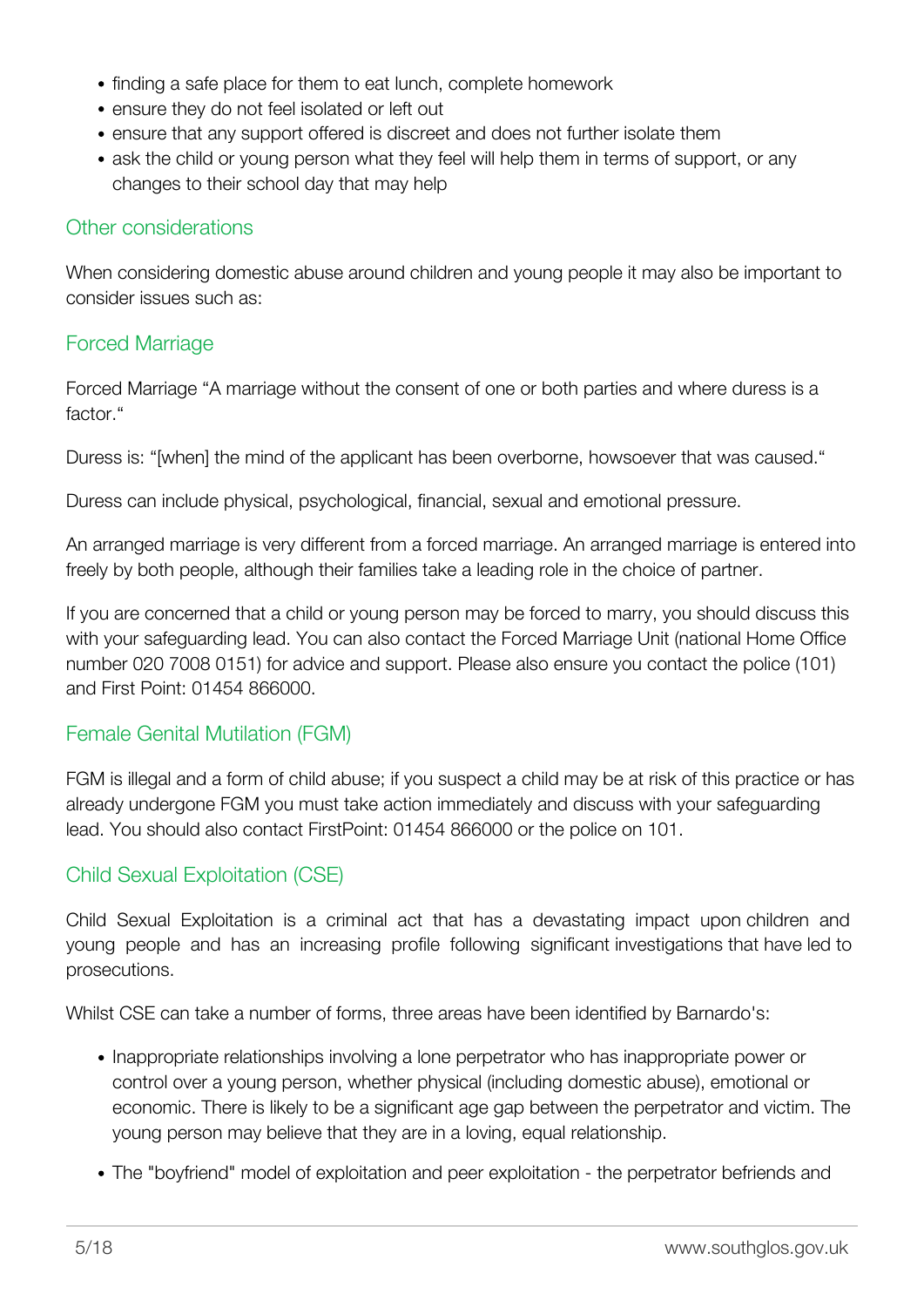- finding a safe place for them to eat lunch, complete homework
- ensure they do not feel isolated or left out
- ensure that any support offered is discreet and does not further isolate them
- ask the child or young person what they feel will help them in terms of support, or any changes to their school day that may help

# Other considerations

When considering domestic abuse around children and young people it may also be important to consider issues such as:

# Forced Marriage

Forced Marriage "A marriage without the consent of one or both parties and where duress is a factor."

Duress is: "[when] the mind of the applicant has been overborne, howsoever that was caused."

Duress can include physical, psychological, financial, sexual and emotional pressure.

An arranged marriage is very different from a forced marriage. An arranged marriage is entered into freely by both people, although their families take a leading role in the choice of partner.

If you are concerned that a child or young person may be forced to marry, you should discuss this with your safeguarding lead. You can also contact the Forced Marriage Unit (national Home Office number 020 7008 0151) for advice and support. Please also ensure you contact the police (101) and First Point: 01454 866000.

# Female Genital Mutilation (FGM)

FGM is illegal and a form of child abuse; if you suspect a child may be at risk of this practice or has already undergone FGM you must take action immediately and discuss with your safeguarding lead. You should also contact FirstPoint: 01454 866000 or the police on 101.

# Child Sexual Exploitation (CSE)

Child Sexual Exploitation is a criminal act that has a devastating impact upon children and young people and has an increasing profile following significant investigations that have led to prosecutions.

Whilst CSE can take a number of forms, three areas have been identified by Barnardo's:

- Inappropriate relationships involving a lone perpetrator who has inappropriate power or control over a young person, whether physical (including domestic abuse), emotional or economic. There is likely to be a significant age gap between the perpetrator and victim. The young person may believe that they are in a loving, equal relationship.
- The "boyfriend" model of exploitation and peer exploitation the perpetrator befriends and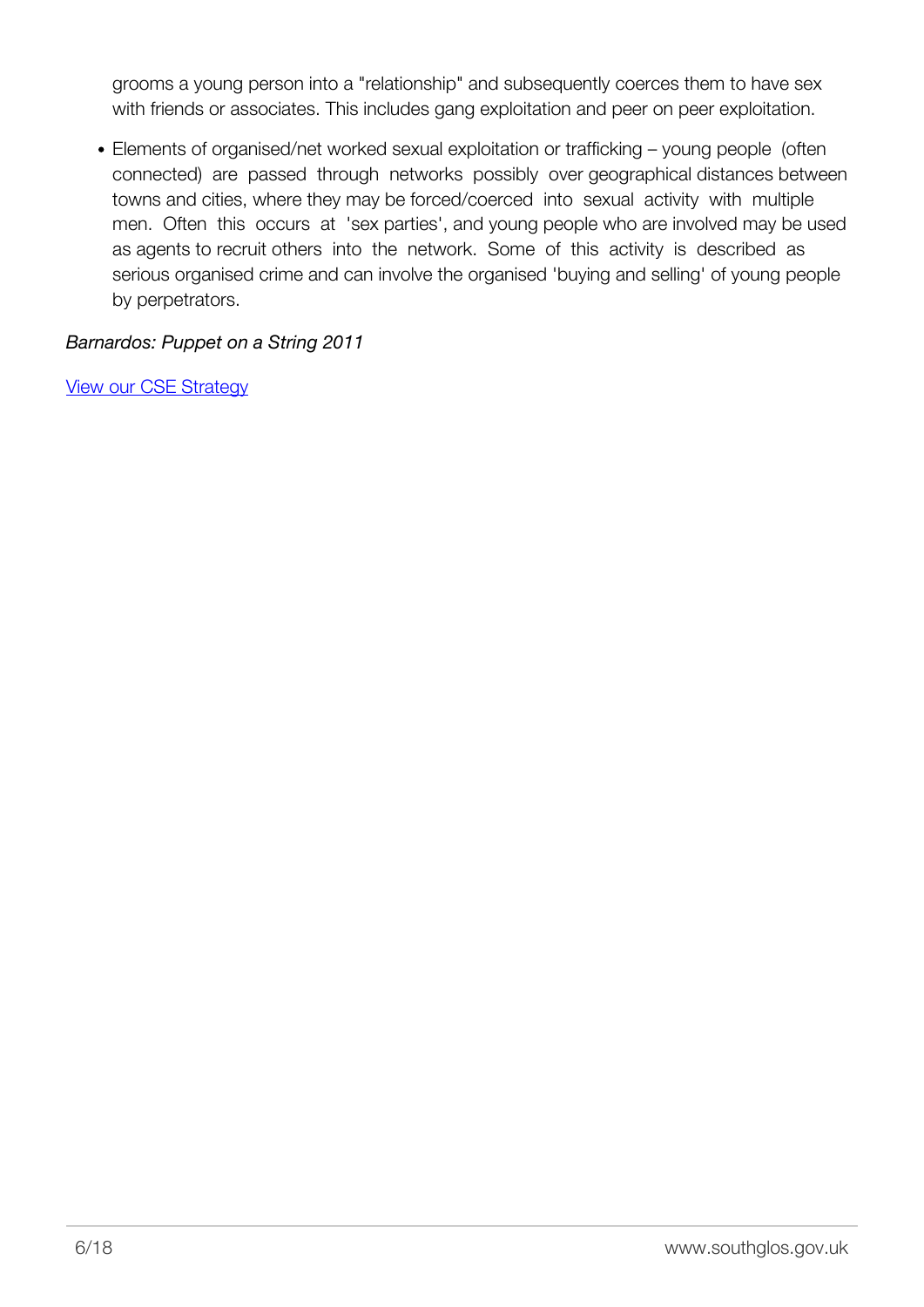grooms a young person into a "relationship" and subsequently coerces them to have sex with friends or associates. This includes gang exploitation and peer on peer exploitation.

Elements of organised/net worked sexual exploitation or trafficking – young people (often connected) are passed through networks possibly over geographical distances between towns and cities, where they may be forced/coerced into sexual activity with multiple men. Often this occurs at 'sex parties', and young people who are involved may be used as agents to recruit others into the network. Some of this activity is described as serious organised crime and can involve the organised 'buying and selling' of young people by perpetrators.

*Barnardos: Puppet on a String 2011*

[View our CSE Strategy](http://sites.southglos.gov.uk/safeguarding/children/i-am-a-professional/safeguarding-guidance-policies-and-plans/)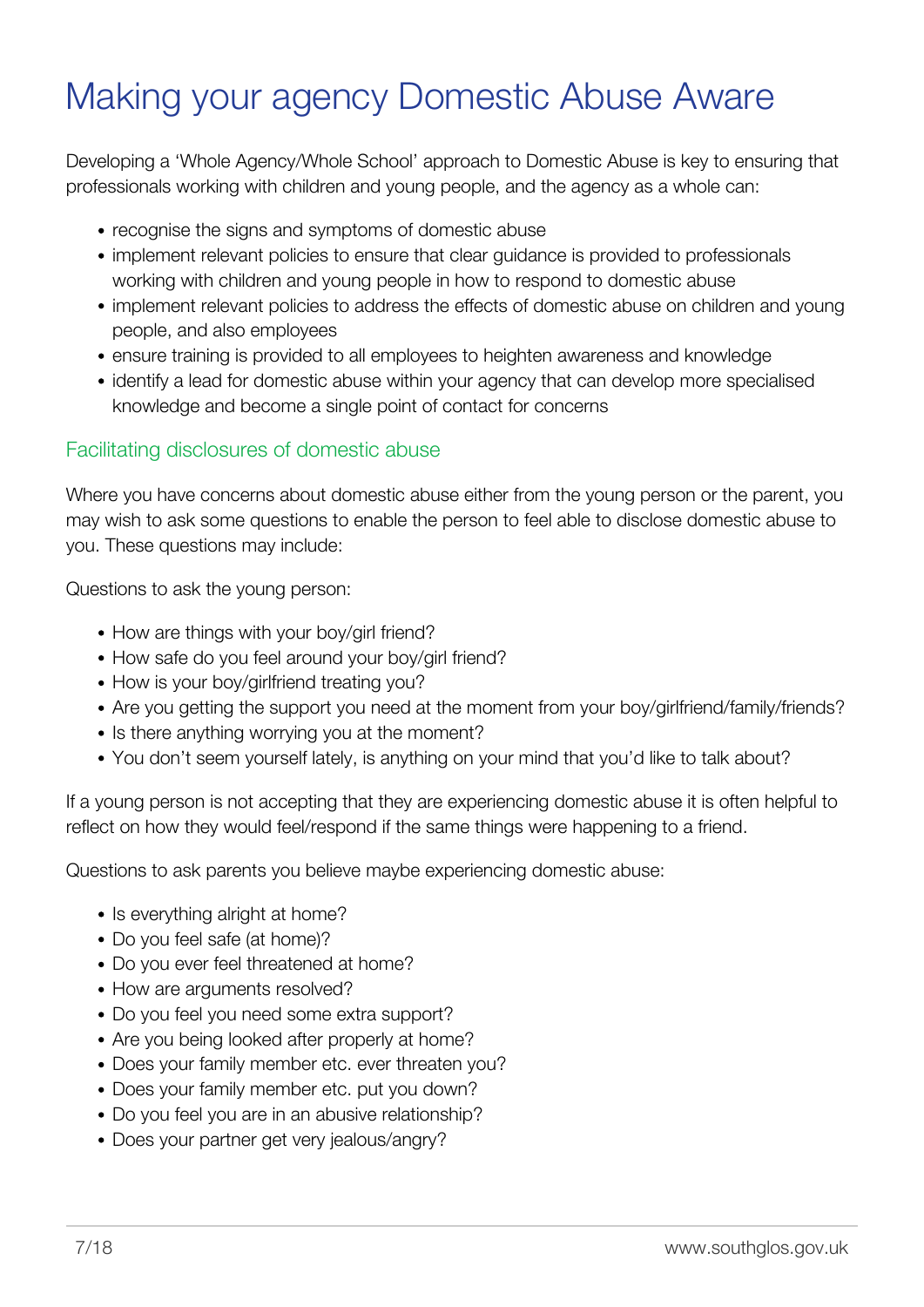# <span id="page-8-0"></span>Making your agency Domestic Abuse Aware

Developing a 'Whole Agency/Whole School' approach to Domestic Abuse is key to ensuring that professionals working with children and young people, and the agency as a whole can:

- recognise the signs and symptoms of domestic abuse
- implement relevant policies to ensure that clear guidance is provided to professionals working with children and young people in how to respond to domestic abuse
- implement relevant policies to address the effects of domestic abuse on children and young people, and also employees
- ensure training is provided to all employees to heighten awareness and knowledge
- identify a lead for domestic abuse within your agency that can develop more specialised knowledge and become a single point of contact for concerns

# Facilitating disclosures of domestic abuse

Where you have concerns about domestic abuse either from the young person or the parent, you may wish to ask some questions to enable the person to feel able to disclose domestic abuse to you. These questions may include:

Questions to ask the young person:

- How are things with your boy/girl friend?
- How safe do you feel around your boy/girl friend?
- How is your boy/girlfriend treating you?
- Are you getting the support you need at the moment from your boy/girlfriend/family/friends?
- Is there anything worrying you at the moment?
- You don't seem yourself lately, is anything on your mind that you'd like to talk about?

If a young person is not accepting that they are experiencing domestic abuse it is often helpful to reflect on how they would feel/respond if the same things were happening to a friend.

Questions to ask parents you believe maybe experiencing domestic abuse:

- Is everything alright at home?
- Do you feel safe (at home)?
- Do you ever feel threatened at home?
- How are arguments resolved?
- Do you feel you need some extra support?
- Are you being looked after properly at home?
- Does your family member etc. ever threaten you?
- Does your family member etc. put you down?
- Do you feel you are in an abusive relationship?
- Does your partner get very jealous/angry?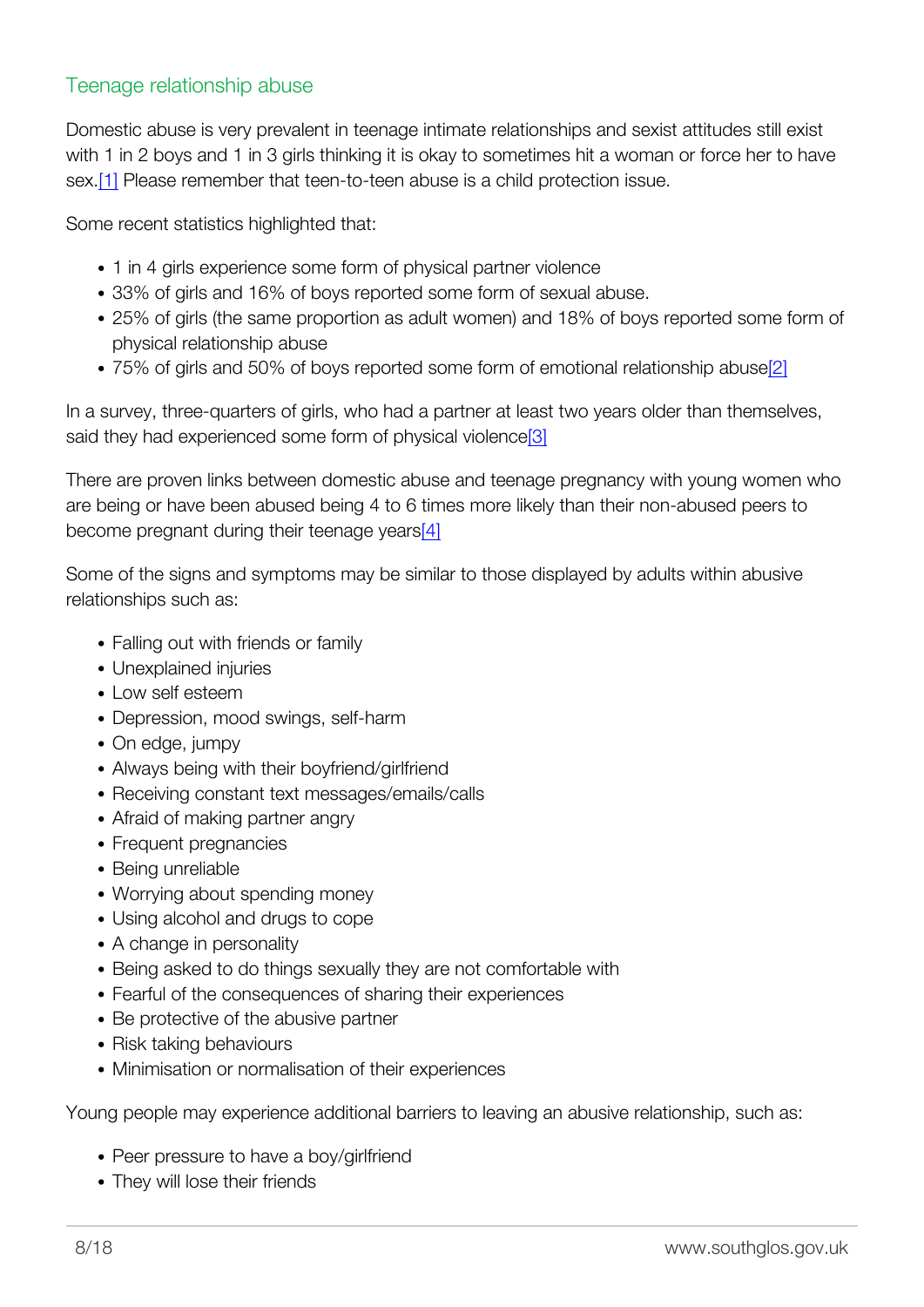# Teenage relationship abuse

Domestic abuse is very prevalent in teenage intimate relationships and sexist attitudes still exist with 1 in 2 boys and 1 in 3 girls thinking it is okay to sometimes hit a woman or force her to have sex.[\[1\]](#page-13-0) Please remember that teen-to-teen abuse is a child protection issue.

<span id="page-9-0"></span>Some recent statistics highlighted that:

- 1 in 4 girls experience some form of physical partner violence
- 33% of girls and 16% of boys reported some form of sexual abuse.
- 25% of girls (the same proportion as adult women) and 18% of boys reported some form of physical relationship abuse
- 75% of girls and 50% of boys reported some form of emotional relationship abuse<sup>[2]</sup>

<span id="page-9-2"></span><span id="page-9-1"></span>In a survey, three-quarters of girls, who had a partner at least two years older than themselves, said they had experienced some form of physical violence<sup>[3]</sup>

<span id="page-9-3"></span>There are proven links between domestic abuse and teenage pregnancy with young women who are being or have been abused being 4 to 6 times more likely than their non-abused peers to become pregnant during their teenage year[s\[4\]](#page-13-3)

Some of the signs and symptoms may be similar to those displayed by adults within abusive relationships such as:

- Falling out with friends or family
- Unexplained injuries
- $\bullet$  Low self esteem
- Depression, mood swings, self-harm
- On edge, jumpy
- Always being with their boyfriend/girlfriend
- Receiving constant text messages/emails/calls
- Afraid of making partner angry
- Frequent pregnancies
- Being unreliable
- Worrying about spending money
- Using alcohol and drugs to cope
- A change in personality
- Being asked to do things sexually they are not comfortable with
- Fearful of the consequences of sharing their experiences
- Be protective of the abusive partner
- Risk taking behaviours
- Minimisation or normalisation of their experiences

Young people may experience additional barriers to leaving an abusive relationship, such as:

- Peer pressure to have a boy/girlfriend
- They will lose their friends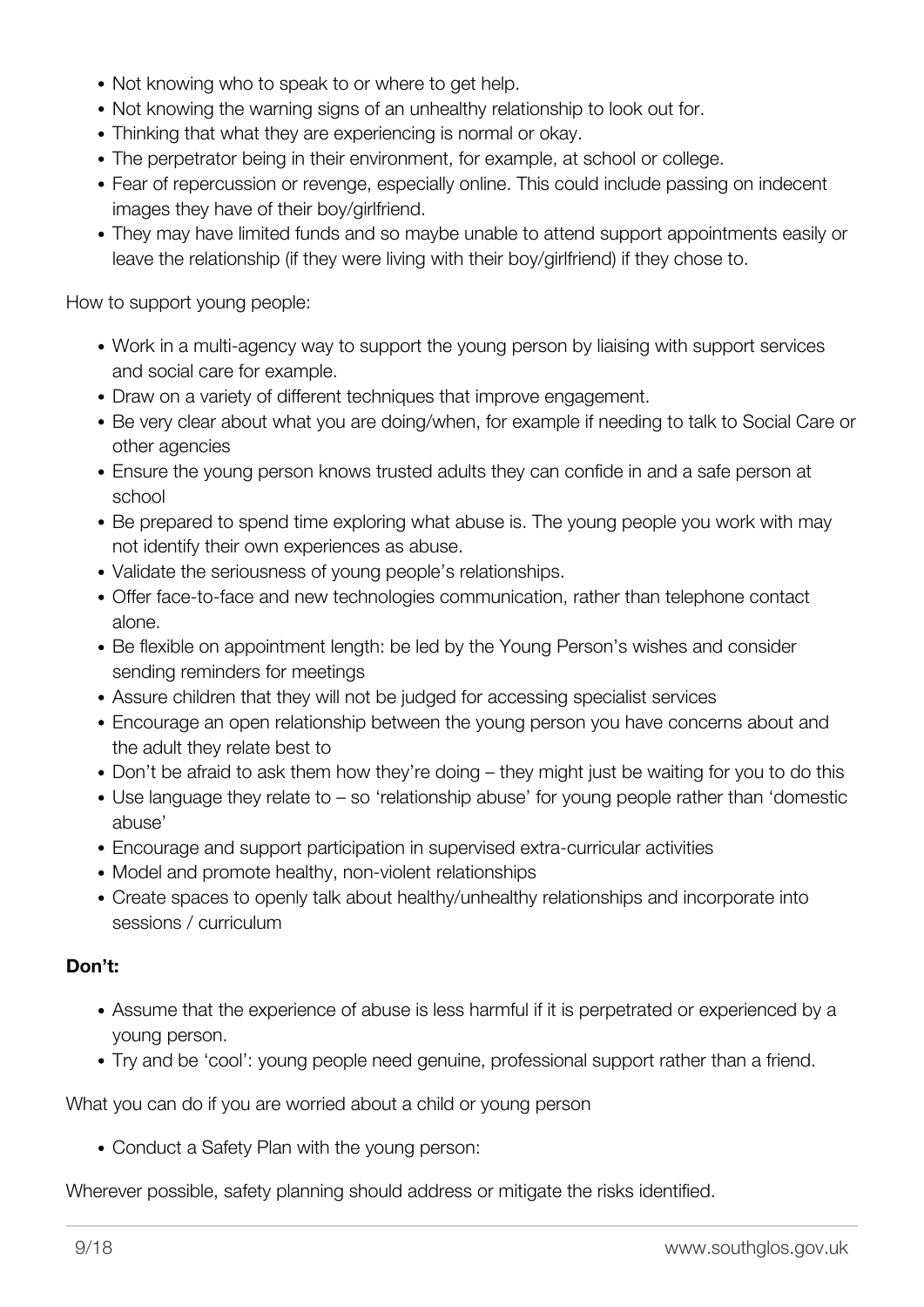- Not knowing who to speak to or where to get help.
- Not knowing the warning signs of an unhealthy relationship to look out for.
- Thinking that what they are experiencing is normal or okay.
- The perpetrator being in their environment, for example, at school or college.
- Fear of repercussion or revenge, especially online. This could include passing on indecent images they have of their boy/girlfriend.
- They may have limited funds and so maybe unable to attend support appointments easily or leave the relationship (if they were living with their boy/girlfriend) if they chose to.

How to support young people:

- Work in a multi-agency way to support the young person by liaising with support services and social care for example.
- Draw on a variety of different techniques that improve engagement.
- Be very clear about what you are doing/when, for example if needing to talk to Social Care or other agencies
- Ensure the young person knows trusted adults they can confide in and a safe person at school
- Be prepared to spend time exploring what abuse is. The young people you work with may not identify their own experiences as abuse.
- Validate the seriousness of young people's relationships.
- Offer face-to-face and new technologies communication, rather than telephone contact alone.
- Be flexible on appointment length: be led by the Young Person's wishes and consider sending reminders for meetings
- Assure children that they will not be judged for accessing specialist services
- Encourage an open relationship between the young person you have concerns about and the adult they relate best to
- Don't be afraid to ask them how they're doing they might just be waiting for you to do this
- Use language they relate to so 'relationship abuse' for young people rather than 'domestic abuse'
- Encourage and support participation in supervised extra-curricular activities
- Model and promote healthy, non-violent relationships
- Create spaces to openly talk about healthy/unhealthy relationships and incorporate into sessions / curriculum

## **Don't:**

- Assume that the experience of abuse is less harmful if it is perpetrated or experienced by a young person.
- Try and be 'cool': young people need genuine, professional support rather than a friend.

What you can do if you are worried about a child or young person

Conduct a Safety Plan with the young person:

Wherever possible, safety planning should address or mitigate the risks identified.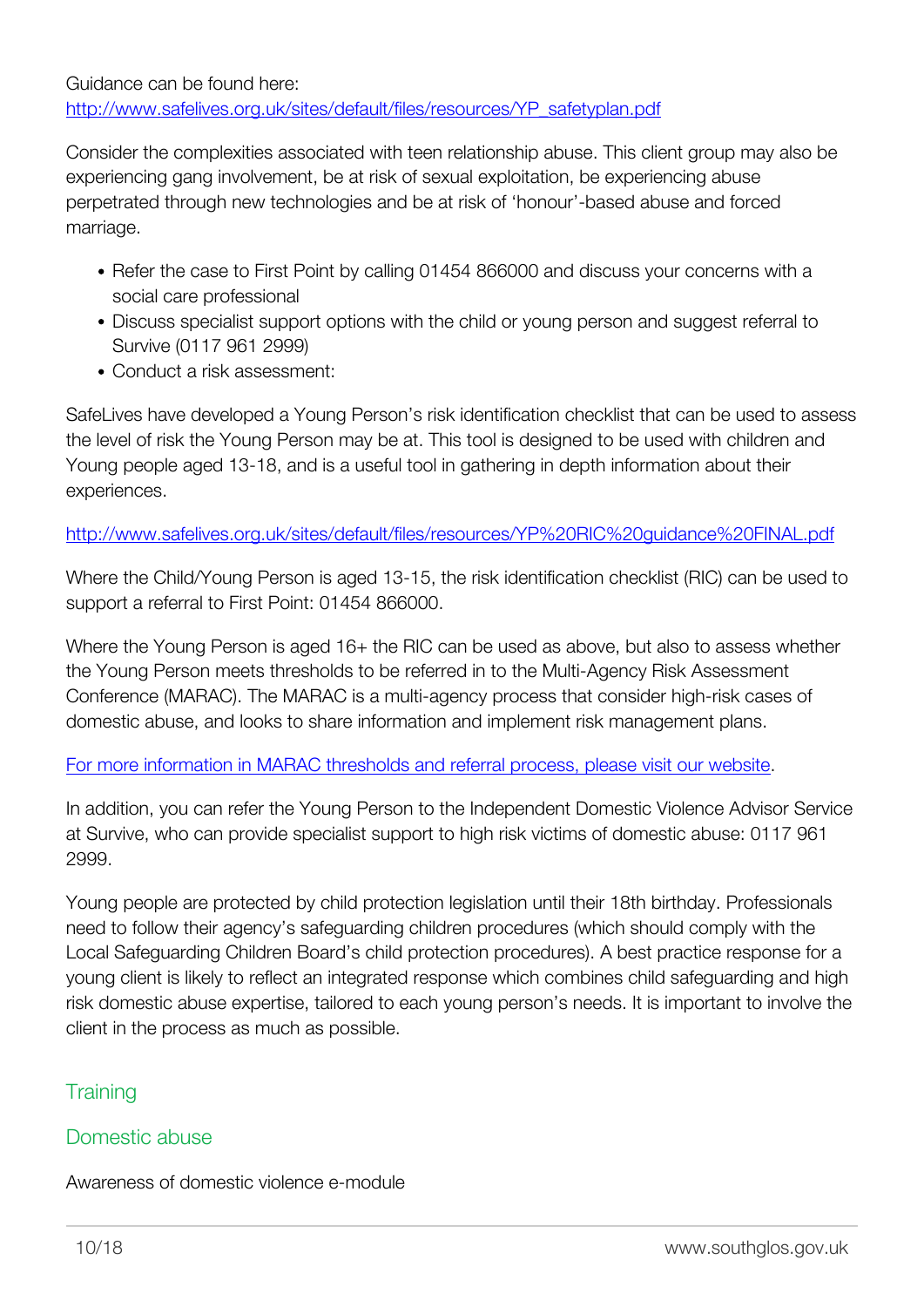Consider the complexities associated with teen relationship abuse. This client group may also be experiencing gang involvement, be at risk of sexual exploitation, be experiencing abuse perpetrated through new technologies and be at risk of 'honour'-based abuse and forced marriage.

- Refer the case to First Point by calling 01454 866000 and discuss your concerns with a social care professional
- Discuss specialist support options with the child or young person and suggest referral to Survive (0117 961 2999)
- Conduct a risk assessment:

SafeLives have developed a Young Person's risk identification checklist that can be used to assess the level of risk the Young Person may be at. This tool is designed to be used with children and Young people aged 13-18, and is a useful tool in gathering in depth information about their experiences.

<http://www.safelives.org.uk/sites/default/files/resources/YP%20RIC%20guidance%20FINAL.pdf>

Where the Child/Young Person is aged 13-15, the risk identification checklist (RIC) can be used to support a referral to First Point: 01454 866000.

Where the Young Person is aged 16+ the RIC can be used as above, but also to assess whether the Young Person meets thresholds to be referred in to the Multi-Agency Risk Assessment Conference (MARAC). The MARAC is a multi-agency process that consider high-risk cases of domestic abuse, and looks to share information and implement risk management plans.

[For more information in MARAC thresholds and referral process, please visit our website](http://www.southglos.gov.uk/community-and-living/community-safety/domestic-abuse-violence/partnership-against-domestic-abuse/).

In addition, you can refer the Young Person to the Independent Domestic Violence Advisor Service at Survive, who can provide specialist support to high risk victims of domestic abuse: 0117 961 2999.

Young people are protected by child protection legislation until their 18th birthday. Professionals need to follow their agency's safeguarding children procedures (which should comply with the Local Safeguarding Children Board's child protection procedures). A best practice response for a young client is likely to reflect an integrated response which combines child safeguarding and high risk domestic abuse expertise, tailored to each young person's needs. It is important to involve the client in the process as much as possible.

# **Training**

# Domestic abuse

Awareness of domestic violence e-module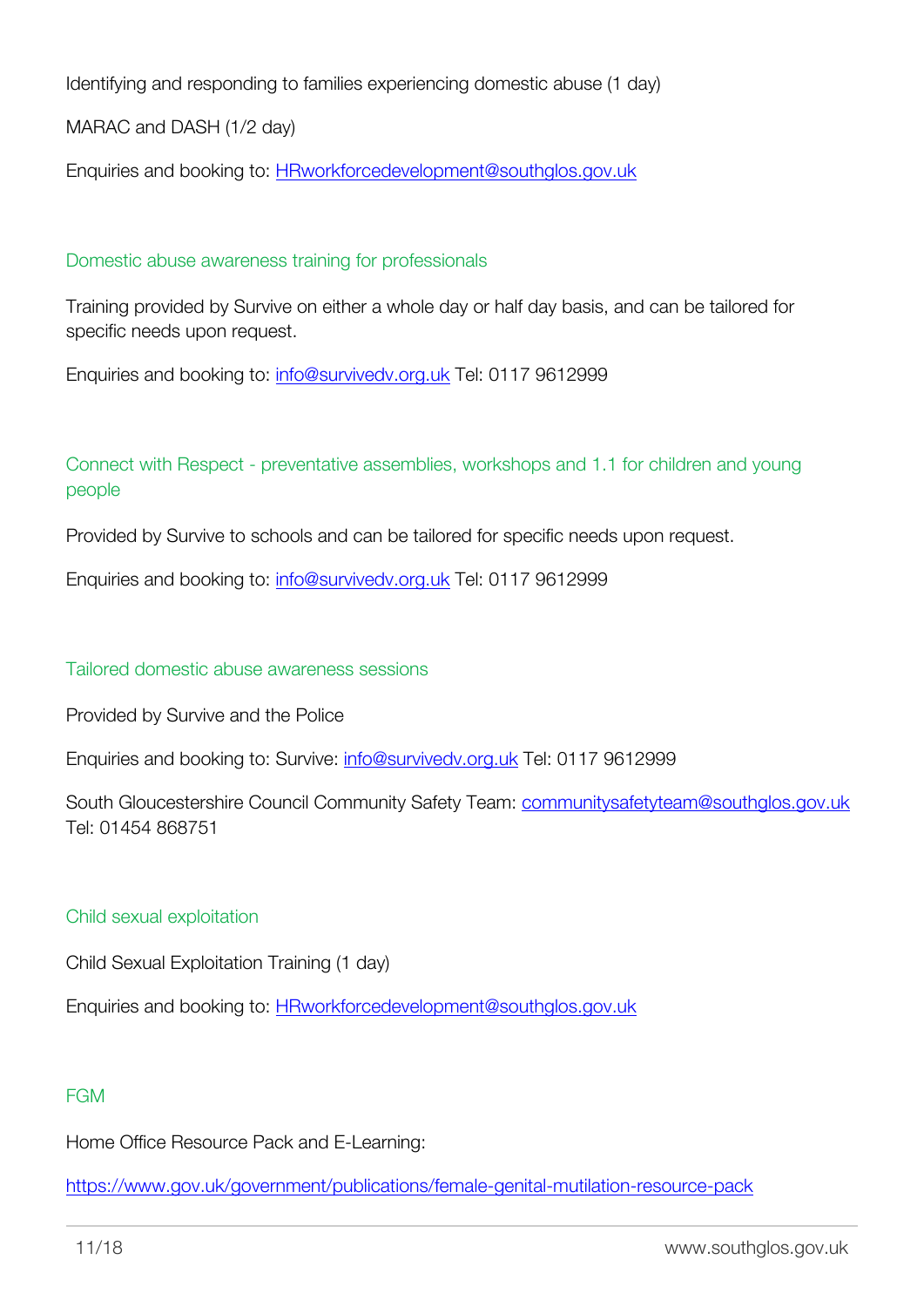Identifying and responding to families experiencing domestic abuse (1 day)

MARAC and DASH (1/2 day)

Enquiries and booking to: [HRworkforcedevelopment@southglos.gov.uk](mailto:HRworkforcedevelopment@southglos.gov.uk)

### Domestic abuse awareness training for professionals

Training provided by Survive on either a whole day or half day basis, and can be tailored for specific needs upon request.

Enquiries and booking to: [info@survivedv.org.uk](mailto:info@survivedv.org.uk) Tel: 0117 9612999

Connect with Respect - preventative assemblies, workshops and 1.1 for children and young people

Provided by Survive to schools and can be tailored for specific needs upon request.

Enquiries and booking to: [info@survivedv.org.uk](mailto:info@survivedv.org.uk) Tel: 0117 9612999

#### Tailored domestic abuse awareness sessions

Provided by Survive and the Police

Enquiries and booking to: Survive: [info@survivedv.org.uk](mailto:info@survivedv.org.uk) Tel: 0117 9612999

South Gloucestershire Council Community Safety Team: [communitysafetyteam@southglos.gov.uk](mailto:communitysafetyteam@southglos.gov.uk) Tel: 01454 868751

#### Child sexual exploitation

Child Sexual Exploitation Training (1 day)

Enquiries and booking to: [HRworkforcedevelopment@southglos.gov.uk](mailto:HRworkforcedevelopment@southglos.gov.uk)

## FGM

Home Office Resource Pack and E-Learning:

<https://www.gov.uk/government/publications/female-genital-mutilation-resource-pack>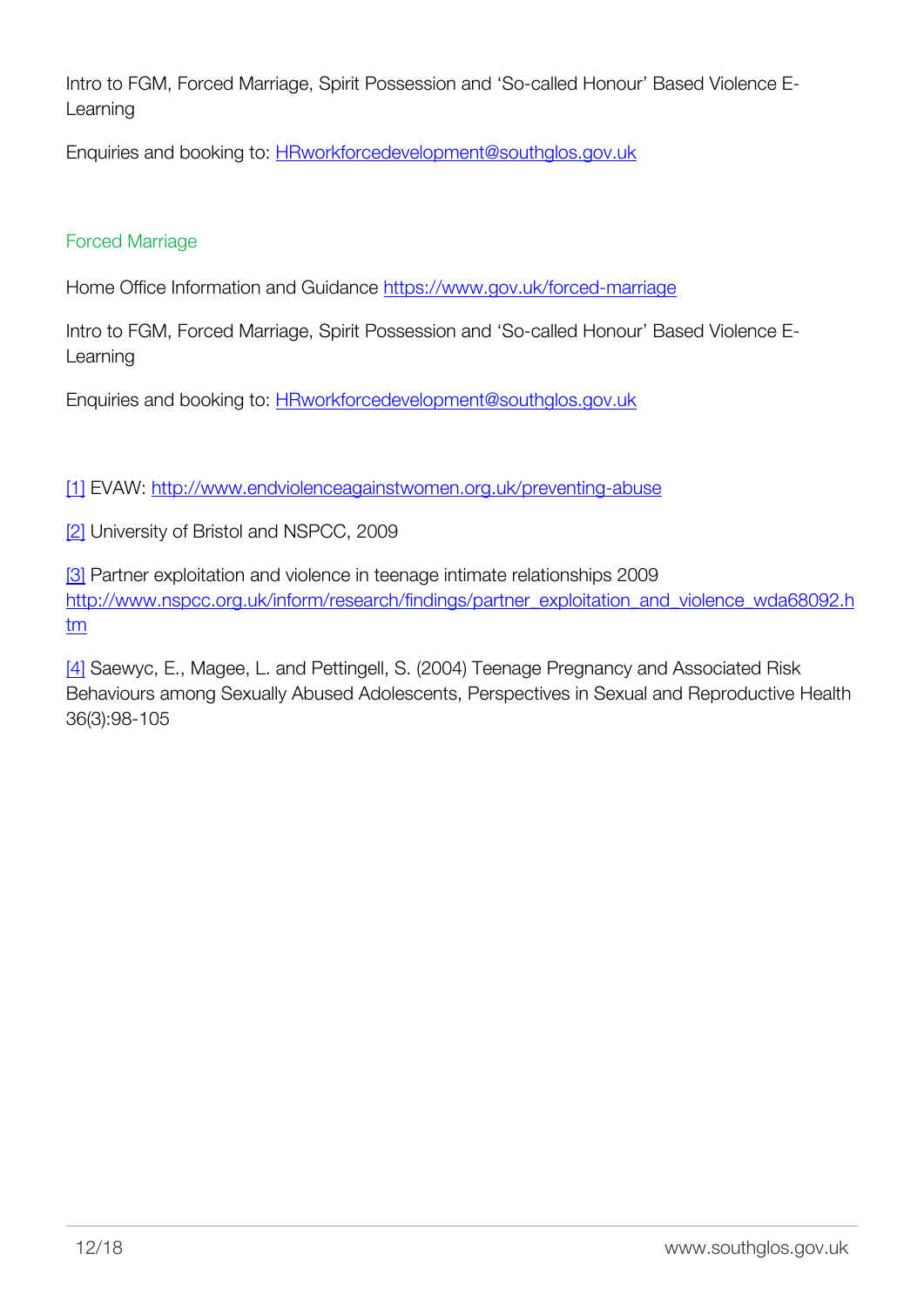Intro to FGM, Forced Marriage, Spirit Possession and 'So-called Honour' Based Violence E-Learning

Enquiries and booking to: [HRworkforcedevelopment@southglos.gov.uk](mailto:HRworkforcedevelopment@southglos.gov.uk)

### Forced Marriage

Home Office Information and Guidance<https://www.gov.uk/forced-marriage>

Intro to FGM, Forced Marriage, Spirit Possession and 'So-called Honour' Based Violence E-Learning

Enquiries and booking to: [HRworkforcedevelopment@southglos.gov.uk](mailto:HRworkforcedevelopment@southglos.gov.uk)

<span id="page-13-0"></span>[\[1\]](#page-9-0) EVAW: [http://www.endviolenceagainstwomen.org.uk/preventing-abuse](http://www.endviolenceagainstwomen.org.uk/preventing-abuse/)

<span id="page-13-1"></span>[\[2\]](#page-9-1) University of Bristol and NSPCC, 2009

<span id="page-13-2"></span>[\[3\]](#page-9-2) Partner exploitation and violence in teenage intimate relationships 2009 [http://www.nspcc.org.uk/inform/research/findings/partner\\_exploitation\\_and\\_violence\\_wda68092.h](http://www.nspcc.org.uk/inform/research/findings/partner_exploitation_and_violence_wda68092.htm) [tm](http://www.nspcc.org.uk/inform/research/findings/partner_exploitation_and_violence_wda68092.htm)

<span id="page-13-3"></span>[\[4\]](#page-9-3) Saewyc, E., Magee, L. and Pettingell, S. (2004) Teenage Pregnancy and Associated Risk Behaviours among Sexually Abused Adolescents, Perspectives in Sexual and Reproductive Health 36(3):98-105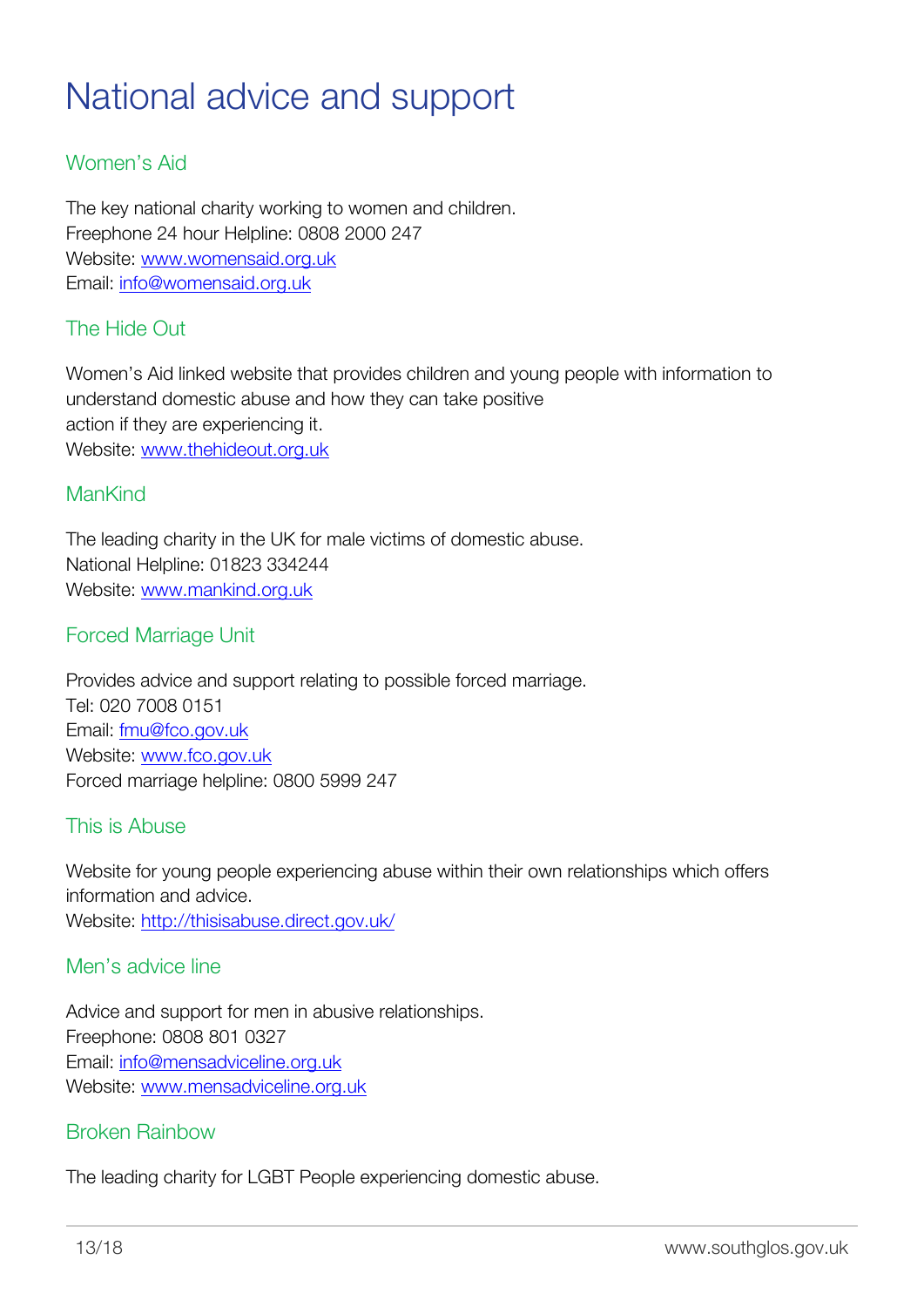# <span id="page-14-0"></span>National advice and support

# Women's Aid

The key national charity working to women and children. Freephone 24 hour Helpline: 0808 2000 247 Website: [www.womensaid.org.uk](https://www.womensaid.org.uk/) Email: [info@womensaid.org.uk](mailto:info@womensaid.org.uk)

# The Hide Out

Women's Aid linked website that provides children and young people with information to understand domestic abuse and how they can take positive action if they are experiencing it. Website: [www.thehideout.org.uk](http://www.thehideout.org.uk/)

# ManKind

The leading charity in the UK for male victims of domestic abuse. National Helpline: 01823 334244 Website: [www.mankind.org.uk](http://www.mankind.org.uk)

# Forced Marriage Unit

Provides advice and support relating to possible forced marriage. Tel: 020 7008 0151 Email: [fmu@fco.gov.uk](mailto:fmu@fco.gov.uk) Website: [www.fco.gov.uk](http://www.fco.gov.uk) Forced marriage helpline: 0800 5999 247

# This is Abuse

Website for young people experiencing abuse within their own relationships which offers information and advice. Website: <http://thisisabuse.direct.gov.uk/>

## Men's advice line

Advice and support for men in abusive relationships. Freephone: 0808 801 0327 Email: [info@mensadviceline.org.uk](mailto:info@mensadviceline.org.uk) Website: [www.mensadviceline.org.uk](http://www.mensadviceline.org.uk)

## Broken Rainbow

The leading charity for LGBT People experiencing domestic abuse.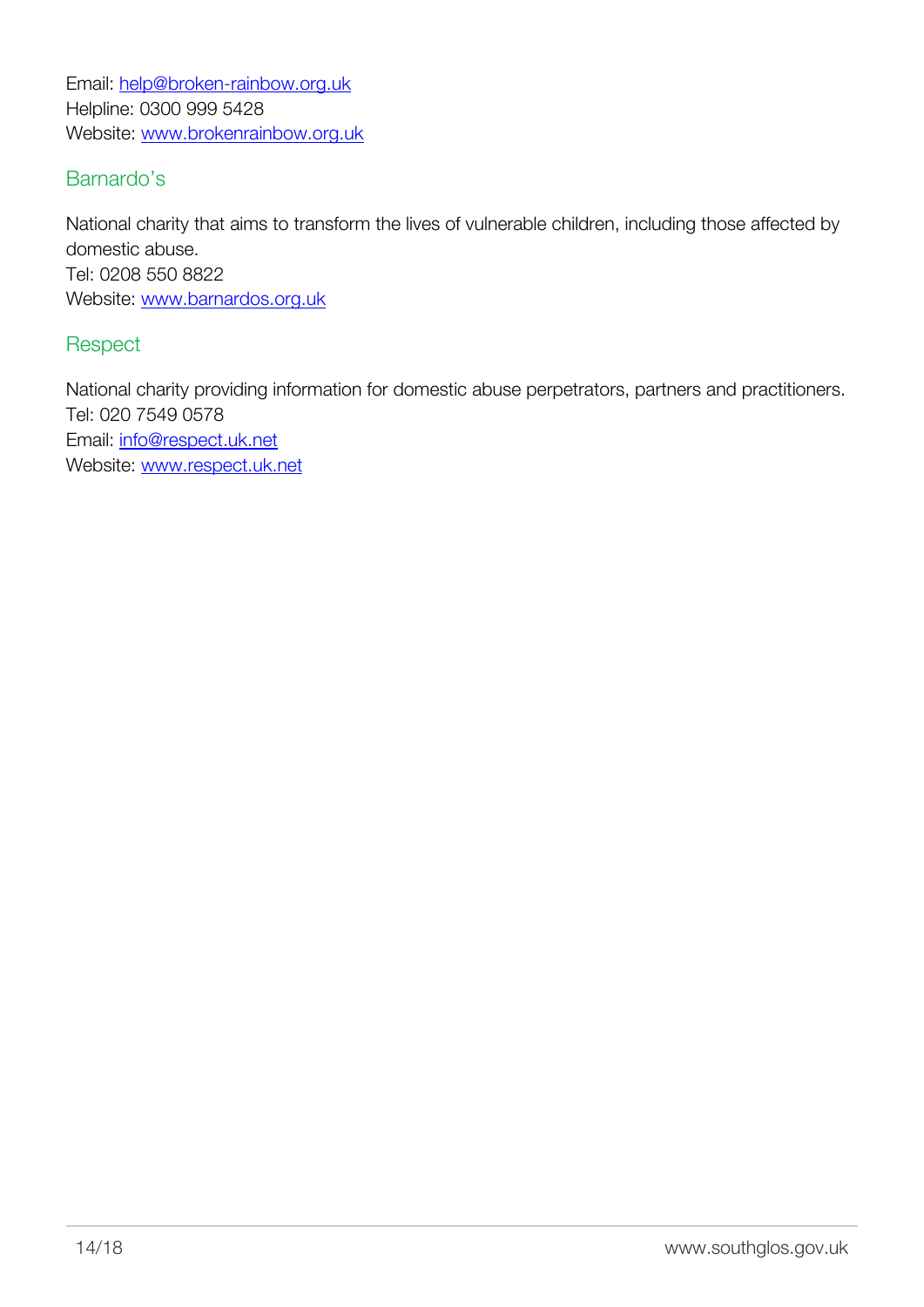Email: [help@broken-rainbow.org.uk](mailto:help@broken-rainbow.org.uk) Helpline: 0300 999 5428 Website: [www.brokenrainbow.org.uk](http://galop.org.uk/)

# Barnardo's

National charity that aims to transform the lives of vulnerable children, including those affected by domestic abuse. Tel: 0208 550 8822 Website: [www.barnardos.org.uk](http://www.barnardos.org.uk)

## **Respect**

National charity providing information for domestic abuse perpetrators, partners and practitioners. Tel: 020 7549 0578 Email: [info@respect.uk.net](mailto:info@respect.uk.net) Website: [www.respect.uk.net](http://www.respect.uk.net)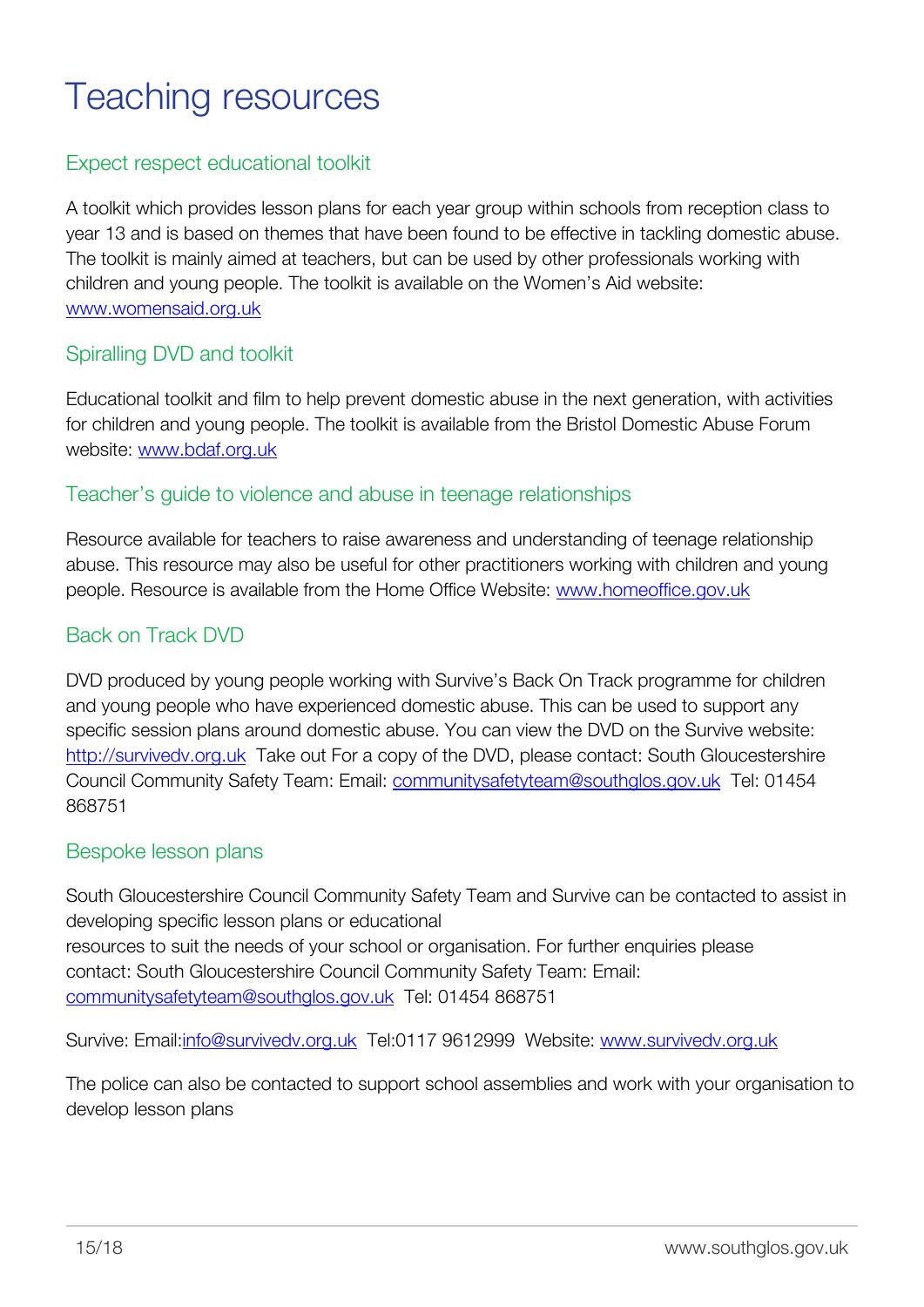# <span id="page-16-0"></span>Teaching resources

# Expect respect educational toolkit

A toolkit which provides lesson plans for each year group within schools from reception class to year 13 and is based on themes that have been found to be effective in tackling domestic abuse. The toolkit is mainly aimed at teachers, but can be used by other professionals working with children and young people. The toolkit is available on the Women's Aid website: [www.womensaid.org.uk](https://www.womensaid.org.uk/)

# Spiralling DVD and toolkit

Educational toolkit and film to help prevent domestic abuse in the next generation, with activities for children and young people. The toolkit is available from the Bristol Domestic Abuse Forum website: [www.bdaf.org.uk](http://www.bdaf.org.uk)

## Teacher's guide to violence and abuse in teenage relationships

Resource available for teachers to raise awareness and understanding of teenage relationship abuse. This resource may also be useful for other practitioners working with children and young people. Resource is available from the Home Office Website: [www.homeoffice.gov.uk](http://www.homeoffice.gov.uk)

# Back on Track DVD

DVD produced by young people working with Survive's Back On Track programme for children and young people who have experienced domestic abuse. This can be used to support any specific session plans around domestic abuse. You can view the DVD on the Survive website: [http://survivedv.org.uk](http://survivedv.org.uk/) Take out For a copy of the DVD, please contact: South Gloucestershire Council Community Safety Team: Email: [communitysafetyteam@southglos.gov.uk](mailto:communitysafetyteam@southglos.gov.uk) Tel: 01454 868751

#### Bespoke lesson plans

South Gloucestershire Council Community Safety Team and Survive can be contacted to assist in developing specific lesson plans or educational resources to suit the needs of your school or organisation. For further enquiries please contact: South Gloucestershire Council Community Safety Team: Email: [communitysafetyteam@southglos.gov.uk](mailto:communitysafetyteam@southglos.gov.uk) Tel: 01454 868751

Survive: Email:[info@survivedv.org.uk](mailto:info@survivedv.org.uk) Tel:0117 9612999 Website: [www.survivedv.org.uk](http://www.survivedv.org.uk)

The police can also be contacted to support school assemblies and work with your organisation to develop lesson plans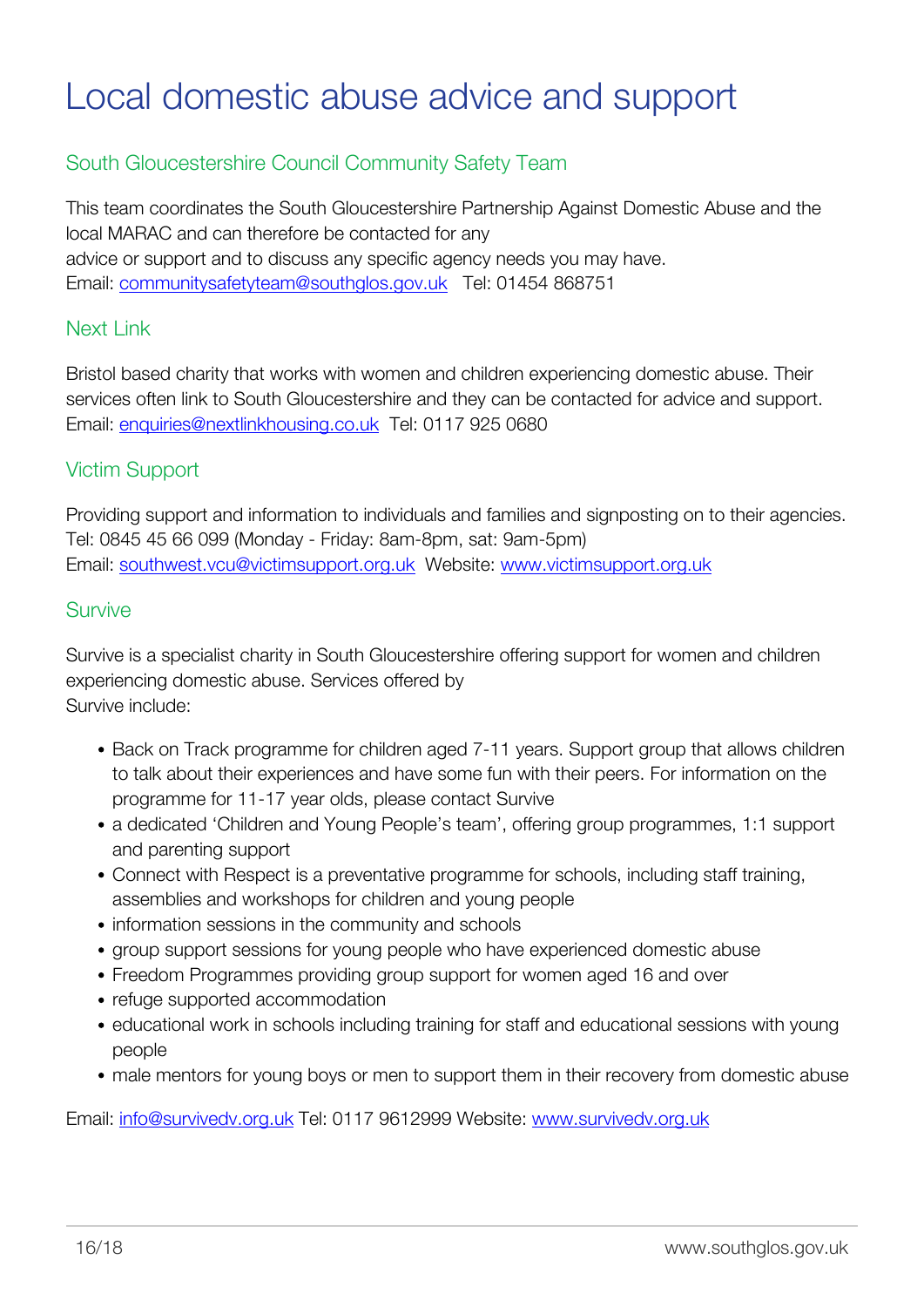# <span id="page-17-0"></span>Local domestic abuse advice and support

# South Gloucestershire Council Community Safety Team

This team coordinates the South Gloucestershire Partnership Against Domestic Abuse and the local MARAC and can therefore be contacted for any advice or support and to discuss any specific agency needs you may have. Email: [communitysafetyteam@southglos.gov.uk](mailto:communitysafetyteam@southglos.gov.uk) Tel: 01454 868751

# Next Link

Bristol based charity that works with women and children experiencing domestic abuse. Their services often link to South Gloucestershire and they can be contacted for advice and support. Email: [enquiries@nextlinkhousing.co.uk](mailto:enquiries@nextlinkhousing.co.uk) Tel: 0117 925 0680

# Victim Support

Providing support and information to individuals and families and signposting on to their agencies. Tel: 0845 45 66 099 (Monday - Friday: 8am-8pm, sat: 9am-5pm) Email: [southwest.vcu@victimsupport.org.uk](mailto:southwest.vcu@victimsupport.org.uk) Website: [www.victimsupport.org.uk](http://www.victimsupport.org.uk)

### **Survive**

Survive is a specialist charity in South Gloucestershire offering support for women and children experiencing domestic abuse. Services offered by Survive include:

- Back on Track programme for children aged 7-11 years. Support group that allows children to talk about their experiences and have some fun with their peers. For information on the programme for 11-17 year olds, please contact Survive
- a dedicated 'Children and Young People's team', offering group programmes, 1:1 support and parenting support
- Connect with Respect is a preventative programme for schools, including staff training, assemblies and workshops for children and young people
- information sessions in the community and schools
- group support sessions for young people who have experienced domestic abuse
- Freedom Programmes providing group support for women aged 16 and over
- refuge supported accommodation
- educational work in schools including training for staff and educational sessions with young people
- male mentors for young boys or men to support them in their recovery from domestic abuse

Email: [info@survivedv.org.uk](mailto:info@survivedv.org.uk) Tel: 0117 9612999 Website: [www.survivedv.org.uk](http://www.survivedv.org.uk)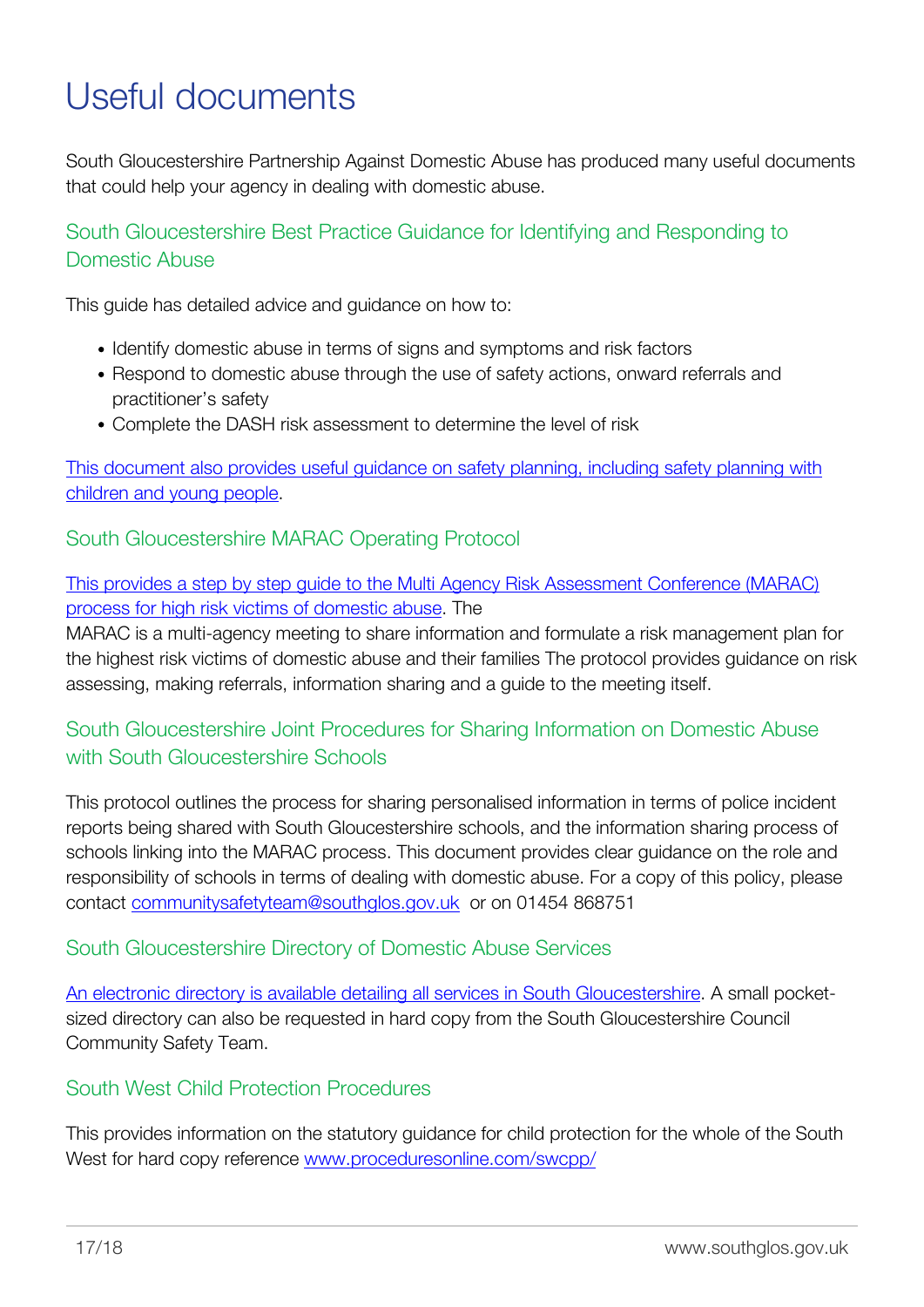# <span id="page-18-0"></span>Useful documents

South Gloucestershire Partnership Against Domestic Abuse has produced many useful documents that could help your agency in dealing with domestic abuse.

South Gloucestershire Best Practice Guidance for Identifying and Responding to Domestic Abuse

This guide has detailed advice and guidance on how to:

- Identify domestic abuse in terms of signs and symptoms and risk factors
- Respond to domestic abuse through the use of safety actions, onward referrals and practitioner's safety
- Complete the DASH risk assessment to determine the level of risk

[This document also provides useful guidance on safety planning, including safety planning with](http://www.southglos.gov.uk/community-and-living/community-safety/domestic-abuse-violence/partnership-against-domestic-abuse/) [children and young people](http://www.southglos.gov.uk/community-and-living/community-safety/domestic-abuse-violence/partnership-against-domestic-abuse/).

South Gloucestershire MARAC Operating Protocol

[This provides a step by step guide to the Multi Agency Risk Assessment Conference \(MARAC\)](http://www.southglos.gov.uk/community-and-living/community-safety/domestic-abuse-violence/partnership-against-domestic-abuse/) [process for high risk victims of domestic abuse.](http://www.southglos.gov.uk/community-and-living/community-safety/domestic-abuse-violence/partnership-against-domestic-abuse/) The

MARAC is a multi-agency meeting to share information and formulate a risk management plan for the highest risk victims of domestic abuse and their families The protocol provides guidance on risk assessing, making referrals, information sharing and a guide to the meeting itself.

# South Gloucestershire Joint Procedures for Sharing Information on Domestic Abuse with South Gloucestershire Schools

This protocol outlines the process for sharing personalised information in terms of police incident reports being shared with South Gloucestershire schools, and the information sharing process of schools linking into the MARAC process. This document provides clear guidance on the role and responsibility of schools in terms of dealing with domestic abuse. For a copy of this policy, please contact [communitysafetyteam@southglos.gov.uk](mailto:communitysafetyteam@southglos.gov.uk) or on 01454 868751

# South Gloucestershire Directory of Domestic Abuse Services

[An electronic directory is available detailing all services in South Gloucestershire.](http://www.southglos.gov.uk/community-and-living/community-safety/domestic-abuse-violence/partnership-against-domestic-abuse/) A small pocketsized directory can also be requested in hard copy from the South Gloucestershire Council Community Safety Team.

# South West Child Protection Procedures

This provides information on the statutory guidance for child protection for the whole of the South West for hard copy reference [www.proceduresonline.com/swcpp/](http://www.proceduresonline.com/swcpp/)